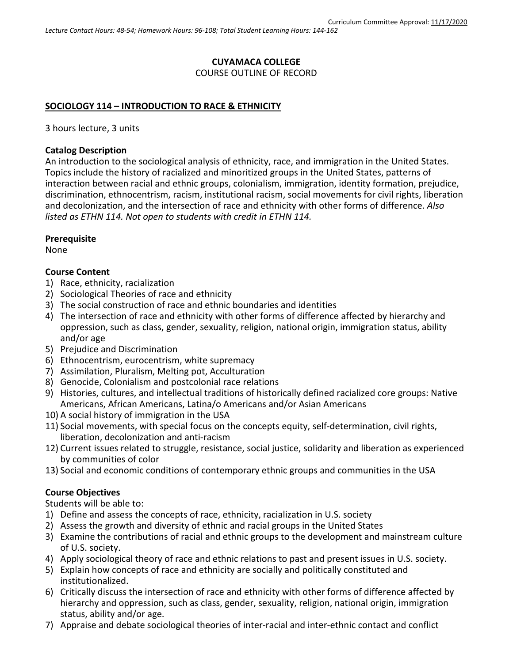### **CUYAMACA COLLEGE** COURSE OUTLINE OF RECORD

#### **SOCIOLOGY 114 – INTRODUCTION TO RACE & ETHNICITY**

3 hours lecture, 3 units

#### **Catalog Description**

An introduction to the sociological analysis of ethnicity, race, and immigration in the United States. Topics include the history of racialized and minoritized groups in the United States, patterns of interaction between racial and ethnic groups, colonialism, immigration, identity formation, prejudice, discrimination, ethnocentrism, racism, institutional racism, social movements for civil rights, liberation and decolonization, and the intersection of race and ethnicity with other forms of difference. *Also listed as ETHN 114. Not open to students with credit in ETHN 114.*

#### **Prerequisite**

None

#### **Course Content**

- 1) Race, ethnicity, racialization
- 2) Sociological Theories of race and ethnicity
- 3) The social construction of race and ethnic boundaries and identities
- 4) The intersection of race and ethnicity with other forms of difference affected by hierarchy and oppression, such as class, gender, sexuality, religion, national origin, immigration status, ability and/or age
- 5) Prejudice and Discrimination
- 6) Ethnocentrism, eurocentrism, white supremacy
- 7) Assimilation, Pluralism, Melting pot, Acculturation
- 8) Genocide, Colonialism and postcolonial race relations
- 9) Histories, cultures, and intellectual traditions of historically defined racialized core groups: Native Americans, African Americans, Latina/o Americans and/or Asian Americans
- 10) A social history of immigration in the USA
- 11) Social movements, with special focus on the concepts equity, self-determination, civil rights, liberation, decolonization and anti-racism
- 12) Current issues related to struggle, resistance, social justice, solidarity and liberation as experienced by communities of color
- 13) Social and economic conditions of contemporary ethnic groups and communities in the USA

### **Course Objectives**

Students will be able to:

- 1) Define and assess the concepts of race, ethnicity, racialization in U.S. society
- 2) Assess the growth and diversity of ethnic and racial groups in the United States
- 3) Examine the contributions of racial and ethnic groups to the development and mainstream culture of U.S. society.
- 4) Apply sociological theory of race and ethnic relations to past and present issues in U.S. society.
- 5) Explain how concepts of race and ethnicity are socially and politically constituted and institutionalized.
- 6) Critically discuss the intersection of race and ethnicity with other forms of difference affected by hierarchy and oppression, such as class, gender, sexuality, religion, national origin, immigration status, ability and/or age.
- 7) Appraise and debate sociological theories of inter-racial and inter-ethnic contact and conflict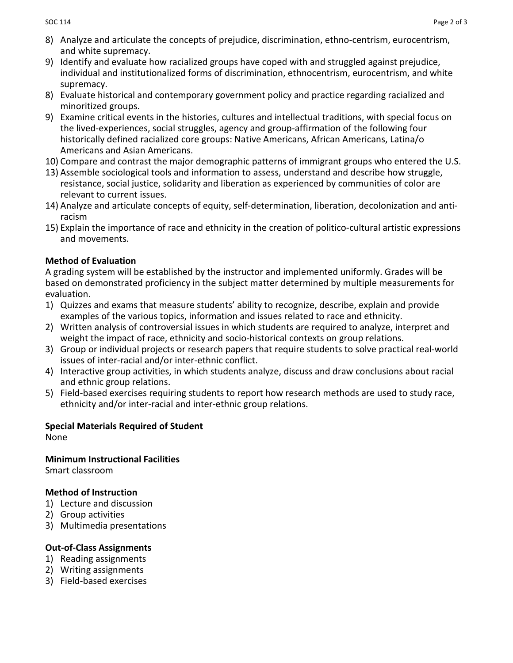- 8) Analyze and articulate the concepts of prejudice, discrimination, ethno-centrism, eurocentrism, and white supremacy.
- 9) Identify and evaluate how racialized groups have coped with and struggled against prejudice, individual and institutionalized forms of discrimination, ethnocentrism, eurocentrism, and white supremacy.
- 8) Evaluate historical and contemporary government policy and practice regarding racialized and minoritized groups.
- 9) Examine critical events in the histories, cultures and intellectual traditions, with special focus on the lived-experiences, social struggles, agency and group-affirmation of the following four historically defined racialized core groups: Native Americans, African Americans, Latina/o Americans and Asian Americans.
- 10) Compare and contrast the major demographic patterns of immigrant groups who entered the U.S.
- 13) Assemble sociological tools and information to assess, understand and describe how struggle, resistance, social justice, solidarity and liberation as experienced by communities of color are relevant to current issues.
- 14) Analyze and articulate concepts of equity, self-determination, liberation, decolonization and antiracism
- 15) Explain the importance of race and ethnicity in the creation of politico-cultural artistic expressions and movements.

# **Method of Evaluation**

A grading system will be established by the instructor and implemented uniformly. Grades will be based on demonstrated proficiency in the subject matter determined by multiple measurements for evaluation.

- 1) Quizzes and exams that measure students' ability to recognize, describe, explain and provide examples of the various topics, information and issues related to race and ethnicity.
- 2) Written analysis of controversial issues in which students are required to analyze, interpret and weight the impact of race, ethnicity and socio-historical contexts on group relations.
- 3) Group or individual projects or research papers that require students to solve practical real-world issues of inter-racial and/or inter-ethnic conflict.
- 4) Interactive group activities, in which students analyze, discuss and draw conclusions about racial and ethnic group relations.
- 5) Field-based exercises requiring students to report how research methods are used to study race, ethnicity and/or inter-racial and inter-ethnic group relations.

# **Special Materials Required of Student**

None

**Minimum Instructional Facilities** Smart classroom

# **Method of Instruction**

- 1) Lecture and discussion
- 2) Group activities
- 3) Multimedia presentations

# **Out-of-Class Assignments**

- 1) Reading assignments
- 2) Writing assignments
- 3) Field-based exercises